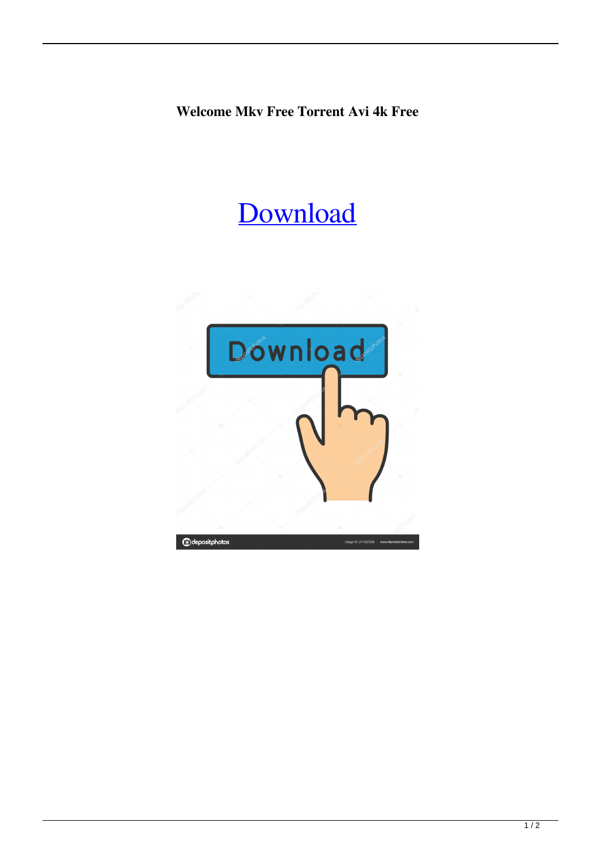**Welcome Mkv Free Torrent Avi 4k Free**

## [Download](http://evacdir.com/inhales/sincerest.slaughtered?wealthdynamics/ZG93bmxvYWR8eWs5TWpsNmJIeDhNVFkxTWpjME1EZzJObng4TWpVM05IeDhLRTBwSUhKbFlXUXRZbXh2WnlCYlJtRnpkQ0JIUlU1ZA.V2VsY29tZSBUbyBOZXcgWW9yayBmdWxsIG1vdmllIGluIGhpbmRpIGhkIDEwODBwIGRvd25sb2FkIGtpY2thc3MgdG9ycmVudAV2V/frightfully)